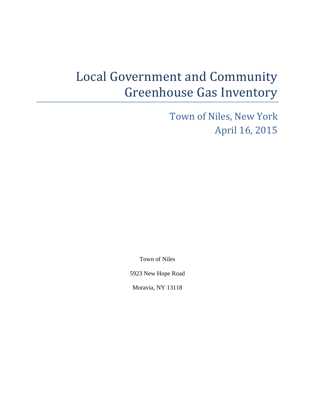# Local Government and Community Greenhouse Gas Inventory

Town of Niles, New York April 16, 2015

Town of Niles

5923 New Hope Road

Moravia, NY 13118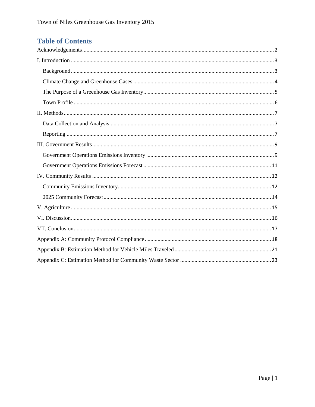# **Table of Contents**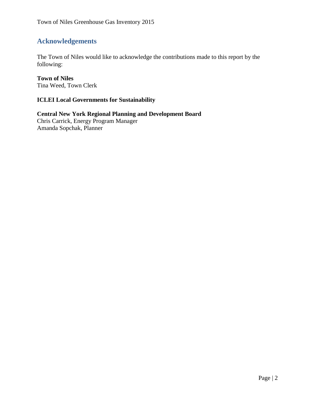## <span id="page-2-0"></span>**Acknowledgements**

The Town of Niles would like to acknowledge the contributions made to this report by the following:

#### **Town of Niles**

Tina Weed, Town Clerk

#### **ICLEI Local Governments for Sustainability**

**Central New York Regional Planning and Development Board** Chris Carrick, Energy Program Manager Amanda Sopchak, Planner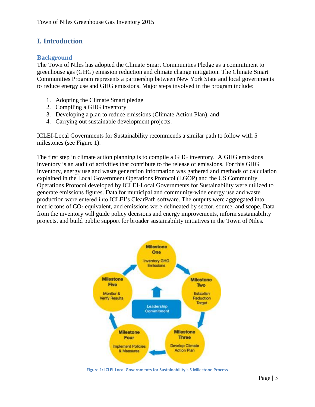## <span id="page-3-0"></span>**I. Introduction**

#### <span id="page-3-1"></span>**Background**

The Town of Niles has adopted the Climate Smart Communities Pledge as a commitment to greenhouse gas (GHG) emission reduction and climate change mitigation. The Climate Smart Communities Program represents a partnership between New York State and local governments to reduce energy use and GHG emissions. Major steps involved in the program include:

- 1. Adopting the Climate Smart pledge
- 2. Compiling a GHG inventory
- 3. Developing a plan to reduce emissions (Climate Action Plan), and
- 4. Carrying out sustainable development projects.

ICLEI-Local Governments for Sustainability recommends a similar path to follow with 5 milestones (see Figure 1).

The first step in climate action planning is to compile a GHG inventory. A GHG emissions inventory is an audit of activities that contribute to the release of emissions. For this GHG inventory, energy use and waste generation information was gathered and methods of calculation explained in the Local Government Operations Protocol (LGOP) and the US Community Operations Protocol developed by ICLEI-Local Governments for Sustainability were utilized to generate emissions figures. Data for municipal and community-wide energy use and waste production were entered into ICLEI's ClearPath software. The outputs were aggregated into metric tons of  $CO<sub>2</sub>$  equivalent, and emissions were delineated by sector, source, and scope. Data from the inventory will guide policy decisions and energy improvements, inform sustainability projects, and build public support for broader sustainability initiatives in the Town of Niles.



**Figure 1: ICLEI-Local Governments for Sustainability's 5 Milestone Process**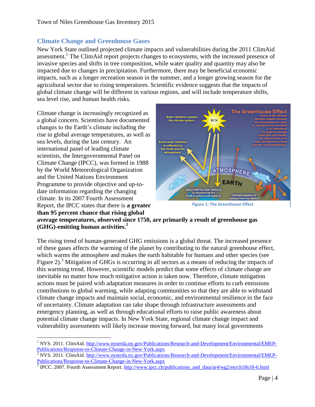#### <span id="page-4-0"></span>**Climate Change and Greenhouse Gases**

New York State outlined projected climate impacts and vulnerabilities during the 2011 ClimAid assessment.<sup>1</sup> The ClimAid report projects changes to ecosystems, with the increased presence of invasive species and shifts in tree composition, while water quality and quantity may also be impacted due to changes in precipitation. Furthermore, there may be beneficial economic impacts, such as a longer recreation season in the summer, and a longer growing season for the agricultural sector due to rising temperatures. Scientific evidence suggests that the impacts of global climate change will be different in various regions, and will include temperature shifts, sea level rise, and human health risks.

Climate change is increasingly recognized as a global concern. Scientists have documented changes to the Earth's climate including the rise in global average temperatures, as well as sea levels, during the last century. An international panel of leading climate scientists, the Intergovernmental Panel on Climate Change (IPCC), was formed in 1988 by the World Meteorological Organization and the United Nations Environment Programme to provide objective and up-todate information regarding the changing climate. In its 2007 Fourth Assessment Report, the IPCC states that there is **a greater than 95 percent chance that rising global** 



**Figure 1: The Greenhouse Effect**

**average temperatures, observed since 1750, are primarily a result of greenhouse gas (GHG)-emitting human activities.<sup>2</sup>**

The rising trend of human-generated GHG emissions is a global threat. The increased presence of these gases affects the warming of the planet by contributing to the natural greenhouse effect, which warms the atmosphere and makes the earth habitable for humans and other species (see Figure 2).<sup>3</sup> Mitigation of GHGs is occurring in all sectors as a means of reducing the impacts of this warming trend. However, scientific models predict that some effects of climate change are inevitable no matter how much mitigative action is taken now. Therefore, climate mitigation actions must be paired with adaptation measures in order to continue efforts to curb emissions contributions to global warming, while adapting communities so that they are able to withstand climate change impacts and maintain social, economic, and environmental resilience in the face of uncertainty. Climate adaptation can take shape through infrastructure assessments and emergency planning, as well as through educational efforts to raise public awareness about potential climate change impacts. In New York State, regional climate change impact and vulnerability assessments will likely increase moving forward, but many local governments

 $\overline{a}$ <sup>1</sup> NYS. 2011. ClimAid. [http://www.nyserda.ny.gov/Publications/Research-and-Development/Environmental/EMEP-](http://www.nyserda.ny.gov/Publications/Research-and-Development/Environmental/EMEP-Publications/Response-to-Climate-Change-in-New-York.aspx)[Publications/Response-to-Climate-Change-in-New-York.aspx](http://www.nyserda.ny.gov/Publications/Research-and-Development/Environmental/EMEP-Publications/Response-to-Climate-Change-in-New-York.aspx)

 $\frac{2}{3}$  NYS. 2011. ClimAid. [http://www.nyserda.ny.gov/Publications/Research-and-Development/Environmental/EMEP-](http://www.nyserda.ny.gov/Publications/Research-and-Development/Environmental/EMEP-Publications/Response-to-Climate-Change-in-New-York.aspx)[Publications/Response-to-Climate-Change-in-New-York.aspx](http://www.nyserda.ny.gov/Publications/Research-and-Development/Environmental/EMEP-Publications/Response-to-Climate-Change-in-New-York.aspx)

<sup>&</sup>lt;sup>3</sup> IPCC. 2007. Fourth Assessment Report. [http://www.ipcc.ch/publications\\_and\\_data/ar4/wg2/en/ch18s18-6.html](http://www.ipcc.ch/publications_and_data/ar4/wg2/en/ch18s18-6.html)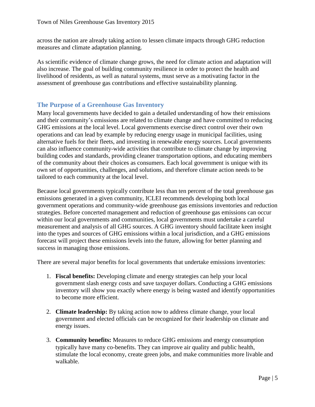across the nation are already taking action to lessen climate impacts through GHG reduction measures and climate adaptation planning.

As scientific evidence of climate change grows, the need for climate action and adaptation will also increase. The goal of building community resilience in order to protect the health and livelihood of residents, as well as natural systems, must serve as a motivating factor in the assessment of greenhouse gas contributions and effective sustainability planning.

#### <span id="page-5-0"></span>**The Purpose of a Greenhouse Gas Inventory**

Many local governments have decided to gain a detailed understanding of how their emissions and their community's emissions are related to climate change and have committed to reducing GHG emissions at the local level. Local governments exercise direct control over their own operations and can lead by example by reducing energy usage in municipal facilities, using alternative fuels for their fleets, and investing in renewable energy sources. Local governments can also influence community-wide activities that contribute to climate change by improving building codes and standards, providing cleaner transportation options, and educating members of the community about their choices as consumers. Each local government is unique with its own set of opportunities, challenges, and solutions, and therefore climate action needs to be tailored to each community at the local level.

Because local governments typically contribute less than ten percent of the total greenhouse gas emissions generated in a given community, ICLEI recommends developing both local government operations and community-wide greenhouse gas emissions inventories and reduction strategies. Before concerted management and reduction of greenhouse gas emissions can occur within our local governments and communities, local governments must undertake a careful measurement and analysis of all GHG sources. A GHG inventory should facilitate keen insight into the types and sources of GHG emissions within a local jurisdiction, and a GHG emissions forecast will project these emissions levels into the future, allowing for better planning and success in managing those emissions.

There are several major benefits for local governments that undertake emissions inventories:

- 1. **Fiscal benefits:** Developing climate and energy strategies can help your local government slash energy costs and save taxpayer dollars. Conducting a GHG emissions inventory will show you exactly where energy is being wasted and identify opportunities to become more efficient.
- 2. **Climate leadership:** By taking action now to address climate change, your local government and elected officials can be recognized for their leadership on climate and energy issues.
- 3. **Community benefits:** Measures to reduce GHG emissions and energy consumption typically have many co-benefits. They can improve air quality and public health, stimulate the local economy, create green jobs, and make communities more livable and walkable.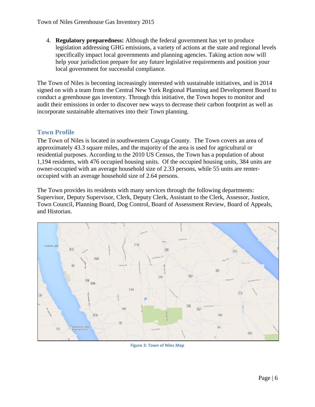4. **Regulatory preparedness:** Although the federal government has yet to produce legislation addressing GHG emissions, a variety of actions at the state and regional levels specifically impact local governments and planning agencies. Taking action now will help your jurisdiction prepare for any future legislative requirements and position your local government for successful compliance.

The Town of Niles is becoming increasingly interested with sustainable initiatives, and in 2014 signed on with a team from the Central New York Regional Planning and Development Board to conduct a greenhouse gas inventory. Through this initiative, the Town hopes to monitor and audit their emissions in order to discover new ways to decrease their carbon footprint as well as incorporate sustainable alternatives into their Town planning.

#### <span id="page-6-0"></span>**Town Profile**

The Town of Niles is located in southwestern Cayuga County. The Town covers an area of approximately 43.3 square miles, and the majority of the area is used for agricultural or residential purposes. According to the 2010 US Census, the Town has a population of about 1,194 residents, with 476 occupied housing units. Of the occupied housing units, 384 units are owner-occupied with an average household size of 2.33 persons, while 55 units are renteroccupied with an average household size of 2.64 persons.

The Town provides its residents with many services through the following departments: Supervisor, Deputy Supervisor, Clerk, Deputy Clerk, Assistant to the Clerk, Assessor, Justice, Town Council, Planning Board, Dog Control, Board of Assessment Review, Board of Appeals, and Historian.



**Figure 3: Town of Niles Map**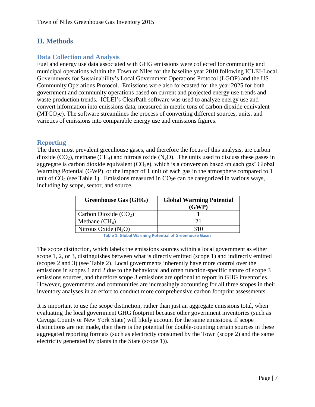## <span id="page-7-0"></span>**II. Methods**

### <span id="page-7-1"></span>**Data Collection and Analysis**

Fuel and energy use data associated with GHG emissions were collected for community and municipal operations within the Town of Niles for the baseline year 2010 following ICLEI-Local Governments for Sustainability's Local Government Operations Protocol (LGOP) and the US Community Operations Protocol. Emissions were also forecasted for the year 2025 for both government and community operations based on current and projected energy use trends and waste production trends. ICLEI's ClearPath software was used to analyze energy use and convert information into emissions data, measured in metric tons of carbon dioxide equivalent (MTCO<sub>2</sub>e). The software streamlines the process of converting different sources, units, and varieties of emissions into comparable energy use and emissions figures.

#### <span id="page-7-2"></span>**Reporting**

The three most prevalent greenhouse gases, and therefore the focus of this analysis, are carbon dioxide  $(CO_2)$ , methane  $(CH_4)$  and nitrous oxide  $(N_2O)$ . The units used to discuss these gases in aggregate is carbon dioxide equivalent  $(CO<sub>2</sub>e)$ , which is a conversion based on each gas' Global Warming Potential (GWP), or the impact of 1 unit of each gas in the atmosphere compared to 1 unit of  $CO<sub>2</sub>$  (see Table 1). Emissions measured in  $CO<sub>2</sub>e$  can be categorized in various ways, including by scope, sector, and source.

| <b>Greenhouse Gas (GHG)</b> | <b>Global Warming Potential</b><br>(GWP) |
|-----------------------------|------------------------------------------|
| Carbon Dioxide $(CO2)$      |                                          |
| Methane $(CH_4)$            | 21                                       |
| Nitrous Oxide $(N_2O)$      | 310                                      |

**Table 1: Global Warming Potential of Greenhouse Gases**

The scope distinction, which labels the emissions sources within a local government as either scope 1, 2, or 3, distinguishes between what is directly emitted (scope 1) and indirectly emitted (scopes 2 and 3) (see Table 2). Local governments inherently have more control over the emissions in scopes 1 and 2 due to the behavioral and often function-specific nature of scope 3 emissions sources, and therefore scope 3 emissions are optional to report in GHG inventories. However, governments and communities are increasingly accounting for all three scopes in their inventory analyses in an effort to conduct more comprehensive carbon footprint assessments.

It is important to use the scope distinction, rather than just an aggregate emissions total, when evaluating the local government GHG footprint because other government inventories (such as Cayuga County or New York State) will likely account for the same emissions. If scope distinctions are not made, then there is the potential for double-counting certain sources in these aggregated reporting formats (such as electricity consumed by the Town (scope 2) and the same electricity generated by plants in the State (scope 1)).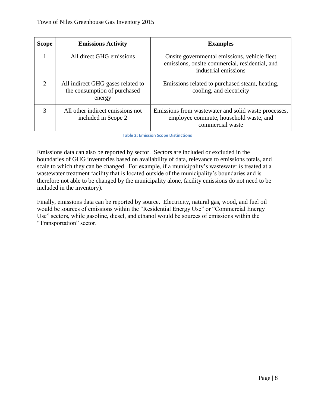| <b>Scope</b>                | <b>Emissions Activity</b>                                                   | <b>Examples</b>                                                                                                        |
|-----------------------------|-----------------------------------------------------------------------------|------------------------------------------------------------------------------------------------------------------------|
|                             | All direct GHG emissions                                                    | Onsite governmental emissions, vehicle fleet<br>emissions, onsite commercial, residential, and<br>industrial emissions |
| $\mathcal{D}_{\mathcal{L}}$ | All indirect GHG gases related to<br>the consumption of purchased<br>energy | Emissions related to purchased steam, heating,<br>cooling, and electricity                                             |
| 3                           | All other indirect emissions not<br>included in Scope 2                     | Emissions from was tewater and solid was te processes,<br>employee commute, household waste, and<br>commercial waste   |

**Table 2: Emission Scope Distinctions**

Emissions data can also be reported by sector. Sectors are included or excluded in the boundaries of GHG inventories based on availability of data, relevance to emissions totals, and scale to which they can be changed. For example, if a municipality's wastewater is treated at a wastewater treatment facility that is located outside of the municipality's boundaries and is therefore not able to be changed by the municipality alone, facility emissions do not need to be included in the inventory).

Finally, emissions data can be reported by source. Electricity, natural gas, wood, and fuel oil would be sources of emissions within the "Residential Energy Use" or "Commercial Energy Use" sectors, while gasoline, diesel, and ethanol would be sources of emissions within the "Transportation" sector.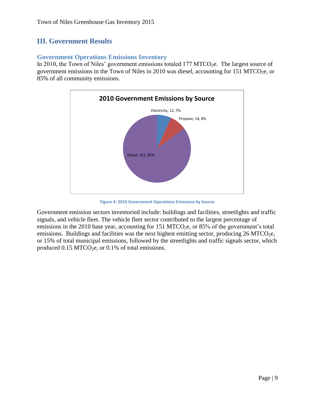## <span id="page-9-0"></span>**III. Government Results**

#### <span id="page-9-1"></span>**Government Operations Emissions Inventory**

In 2010, the Town of Niles' government emissions totaled  $177 \,\mathrm{MTCO}_{2}e$ . The largest source of government emissions in the Town of Niles in 2010 was diesel, accounting for 151 MTCO<sub>2</sub>e, or 85% of all community emissions.



**Figure 4: 2010 Government Operations Emissions by Source**

Government emission sectors inventoried include: buildings and facilities, streetlights and traffic signals, and vehicle fleet. The vehicle fleet sector contributed to the largest percentage of emissions in the 2010 base year, accounting for 151 MTCO<sub>2</sub>e, or 85% of the government's total emissions. Buildings and facilities was the next highest emitting sector, producing  $26 \text{ MTCO}_2$ e, or 15% of total municipal emissions, followed by the streetlights and traffic signals sector, which produced  $0.15 \,\mathrm{MTCO}_{2}$ e, or  $0.1\%$  of total emissions.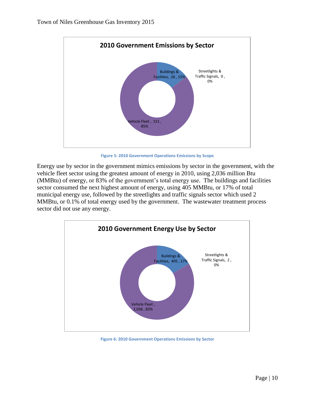

**Figure 5: 2010 Government Operations Emissions by Scope**

Energy use by sector in the government mimics emissions by sector in the government, with the vehicle fleet sector using the greatest amount of energy in 2010, using 2,036 million Btu (MMBtu) of energy, or 83% of the government's total energy use. The buildings and facilities sector consumed the next highest amount of energy, using 405 MMBtu, or 17% of total municipal energy use, followed by the streetlights and traffic signals sector which used 2 MMBtu, or 0.1% of total energy used by the government. The wastewater treatment process sector did not use any energy.



**Figure 6: 2010 Government Operations Emissions by Sector**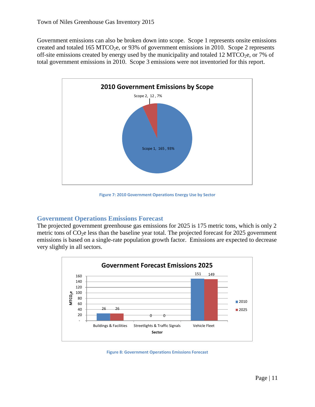Government emissions can also be broken down into scope. Scope 1 represents onsite emissions created and totaled 165 MTCO<sub>2</sub>e, or 93% of government emissions in 2010. Scope 2 represents off-site emissions created by energy used by the municipality and totaled 12 MTCO<sub>2</sub>e, or 7% of total government emissions in 2010. Scope 3 emissions were not inventoried for this report.



**Figure 7: 2010 Government Operations Energy Use by Sector**

#### <span id="page-11-0"></span>**Government Operations Emissions Forecast**

The projected government greenhouse gas emissions for 2025 is 175 metric tons, which is only 2 metric tons of  $CO<sub>2</sub>e$  less than the baseline year total. The projected forecast for 2025 government emissions is based on a single-rate population growth factor. Emissions are expected to decrease very slightly in all sectors.



**Figure 8: Government Operations Emissions Forecast**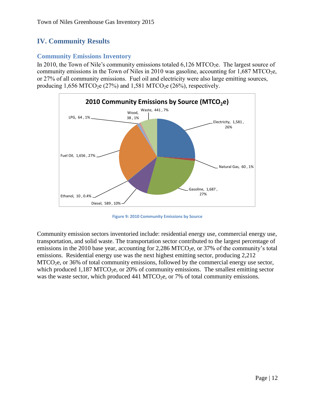## <span id="page-12-0"></span>**IV. Community Results**

#### <span id="page-12-1"></span>**Community Emissions Inventory**

In 2010, the Town of Nile's community emissions totaled  $6,126$  MTCO<sub>2</sub>e. The largest source of community emissions in the Town of Niles in 2010 was gasoline, accounting for  $1,687$  MTCO<sub>2</sub>e, or 27% of all community emissions. Fuel oil and electricity were also large emitting sources, producing  $1,656 \text{ MTCO}_2$ e (27%) and  $1,581 \text{ MTCO}_2$ e (26%), respectively.



**Figure 9: 2010 Community Emissions by Source**

Community emission sectors inventoried include: residential energy use, commercial energy use, transportation, and solid waste. The transportation sector contributed to the largest percentage of emissions in the 2010 base year, accounting for 2,286 MTCO<sub>2</sub>e, or 37% of the community's total emissions. Residential energy use was the next highest emitting sector, producing 2,212 MTCO<sub>2</sub>e, or 36% of total community emissions, followed by the commercial energy use sector, which produced  $1.187 \text{ MTCO}_{2}$ , or  $20\%$  of community emissions. The smallest emitting sector was the waste sector, which produced  $441$  MTCO<sub>2</sub>e, or 7% of total community emissions.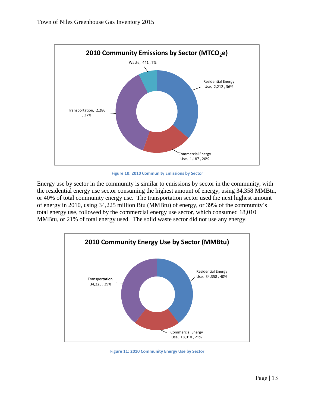

**Figure 10: 2010 Community Emissions by Sector**

Energy use by sector in the community is similar to emissions by sector in the community, with the residential energy use sector consuming the highest amount of energy, using 34,358 MMBtu, or 40% of total community energy use. The transportation sector used the next highest amount of energy in 2010, using 34,225 million Btu (MMBtu) of energy, or 39% of the community's total energy use, followed by the commercial energy use sector, which consumed 18,010 MMBtu, or 21% of total energy used. The solid waste sector did not use any energy.



**Figure 11: 2010 Community Energy Use by Sector**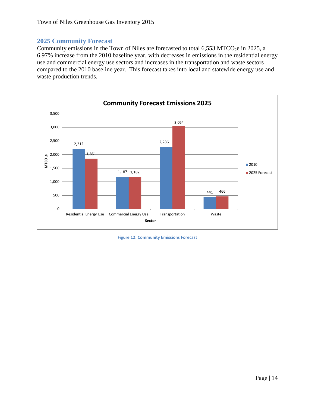#### <span id="page-14-0"></span>**2025 Community Forecast**

Community emissions in the Town of Niles are forecasted to total  $6,553$  MTCO<sub>2</sub>e in 2025, a 6.97% increase from the 2010 baseline year, with decreases in emissions in the residential energy use and commercial energy use sectors and increases in the transportation and waste sectors compared to the 2010 baseline year. This forecast takes into local and statewide energy use and waste production trends.



**Figure 12: Community Emissions Forecast**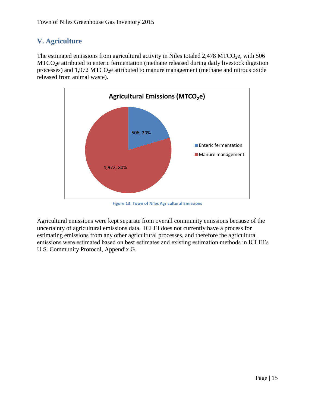## <span id="page-15-0"></span>**V. Agriculture**

The estimated emissions from agricultural activity in Niles totaled  $2,478$  MTCO<sub>2</sub>e, with 506 MTCO<sub>2</sub>e attributed to enteric fermentation (methane released during daily livestock digestion processes) and  $1,972$  MTCO<sub>2</sub>e attributed to manure management (methane and nitrous oxide released from animal waste).



**Figure 13: Town of Niles Agricultural Emissions**

Agricultural emissions were kept separate from overall community emissions because of the uncertainty of agricultural emissions data. ICLEI does not currently have a process for estimating emissions from any other agricultural processes, and therefore the agricultural emissions were estimated based on best estimates and existing estimation methods in ICLEI's U.S. Community Protocol, Appendix G.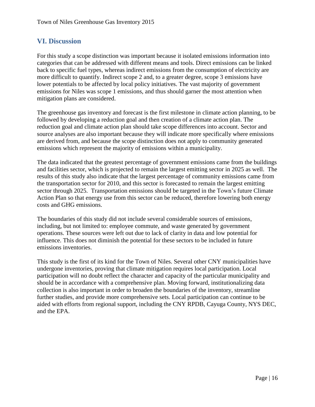## <span id="page-16-0"></span>**VI. Discussion**

For this study a scope distinction was important because it isolated emissions information into categories that can be addressed with different means and tools. Direct emissions can be linked back to specific fuel types, whereas indirect emissions from the consumption of electricity are more difficult to quantify. Indirect scope 2 and, to a greater degree, scope 3 emissions have lower potentials to be affected by local policy initiatives. The vast majority of government emissions for Niles was scope 1 emissions, and thus should garner the most attention when mitigation plans are considered.

The greenhouse gas inventory and forecast is the first milestone in climate action planning, to be followed by developing a reduction goal and then creation of a climate action plan. The reduction goal and climate action plan should take scope differences into account. Sector and source analyses are also important because they will indicate more specifically where emissions are derived from, and because the scope distinction does not apply to community generated emissions which represent the majority of emissions within a municipality.

The data indicated that the greatest percentage of government emissions came from the buildings and facilities sector, which is projected to remain the largest emitting sector in 2025 as well. The results of this study also indicate that the largest percentage of community emissions came from the transportation sector for 2010, and this sector is forecasted to remain the largest emitting sector through 2025. Transportation emissions should be targeted in the Town's future Climate Action Plan so that energy use from this sector can be reduced, therefore lowering both energy costs and GHG emissions.

The boundaries of this study did not include several considerable sources of emissions, including, but not limited to: employee commute, and waste generated by government operations. These sources were left out due to lack of clarity in data and low potential for influence. This does not diminish the potential for these sectors to be included in future emissions inventories.

This study is the first of its kind for the Town of Niles. Several other CNY municipalities have undergone inventories, proving that climate mitigation requires local participation. Local participation will no doubt reflect the character and capacity of the particular municipality and should be in accordance with a comprehensive plan. Moving forward, institutionalizing data collection is also important in order to broaden the boundaries of the inventory, streamline further studies, and provide more comprehensive sets. Local participation can continue to be aided with efforts from regional support, including the CNY RPDB, Cayuga County, NYS DEC, and the EPA.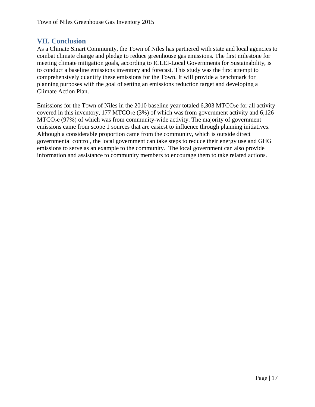#### <span id="page-17-0"></span>**VII. Conclusion**

As a Climate Smart Community, the Town of Niles has partnered with state and local agencies to combat climate change and pledge to reduce greenhouse gas emissions. The first milestone for meeting climate mitigation goals, according to ICLEI-Local Governments for Sustainability, is to conduct a baseline emissions inventory and forecast. This study was the first attempt to comprehensively quantify these emissions for the Town. It will provide a benchmark for planning purposes with the goal of setting an emissions reduction target and developing a Climate Action Plan.

Emissions for the Town of Niles in the 2010 baseline year totaled 6,303 MTCO<sub>2</sub>e for all activity covered in this inventory, 177 MTCO<sub>2</sub>e (3%) of which was from government activity and  $6,126$  $MTCO<sub>2</sub>e$  (97%) of which was from community-wide activity. The majority of government emissions came from scope 1 sources that are easiest to influence through planning initiatives. Although a considerable proportion came from the community, which is outside direct governmental control, the local government can take steps to reduce their energy use and GHG emissions to serve as an example to the community. The local government can also provide information and assistance to community members to encourage them to take related actions.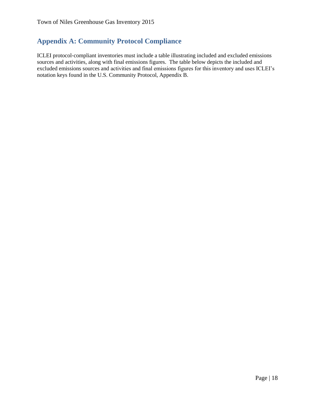## <span id="page-18-0"></span>**Appendix A: Community Protocol Compliance**

ICLEI protocol‐compliant inventories must include a table illustrating included and excluded emissions sources and activities, along with final emissions figures. The table below depicts the included and excluded emissions sources and activities and final emissions figures for this inventory and uses ICLEI's notation keys found in the U.S. Community Protocol, Appendix B.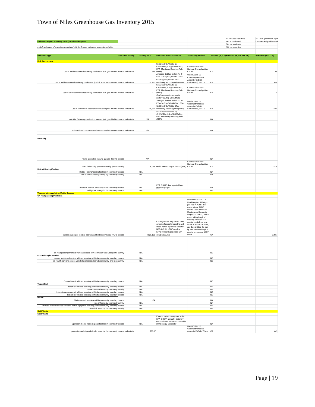## Town of Niles Greenhouse Gas Inventory 2015

| Emissions Report Summary Table (2010 baseline year)                                                                      |                           |                      |                                                                                   |                                                          |                        | IE- Included Elsewhere<br>NE- Not estimated | SI- Local government signif<br>CA- community-wide activit |
|--------------------------------------------------------------------------------------------------------------------------|---------------------------|----------------------|-----------------------------------------------------------------------------------|----------------------------------------------------------|------------------------|---------------------------------------------|-----------------------------------------------------------|
|                                                                                                                          |                           |                      |                                                                                   |                                                          |                        | NA- not applicable                          |                                                           |
| Include estimates of emissions associated with the 5 basic emissions generating activities                               |                           |                      |                                                                                   |                                                          |                        | NO- not occurring                           |                                                           |
|                                                                                                                          |                           |                      |                                                                                   |                                                          |                        |                                             |                                                           |
| <b>Emissions Type</b>                                                                                                    | <b>Source or Activity</b> | <b>Activity Data</b> | <b>Emissions Factor &amp; Source</b>                                              | <b>Accounting Method</b>                                 |                        | Included (SI, CA) Excluded (IE, NA, NO, NE) | <b>Emissions (MTCO2e)</b>                                 |
| <b>Built Environment</b>                                                                                                 |                           |                      |                                                                                   |                                                          |                        |                                             |                                                           |
|                                                                                                                          |                           |                      | 53.02 kg CO <sub>2</sub> /MMBtu; 1 g                                              |                                                          |                        |                                             |                                                           |
|                                                                                                                          |                           |                      | CH4/MMBtu; 0.1 g N2O/MMBtu;<br>EPA Mandatory Reporting Rule                       | Collected data from<br>National Grid and put into        |                        |                                             |                                                           |
| Use of fuel in residential stationary combustion (nat. gas- MMBtu) source and activity                                   |                           |                      | 929 (MRR)                                                                         | CACP                                                     | CA                     |                                             | 49                                                        |
|                                                                                                                          |                           |                      | Averaged distillate fuel oil #1, 2,4<br>EF= 74.5 kg CO <sub>2</sub> /MMBtu; LPG=  | Used ICLEI's US                                          |                        |                                             |                                                           |
|                                                                                                                          |                           |                      | 62.98 kg CO <sub>2</sub> /MMBtu; EPA                                              | Community Protocol<br>Appendix C (Built                  |                        |                                             |                                                           |
| Use of fuel in residential stationary combustion (fuel oil, wood, LPG- MMBtu) source and activity                        |                           |                      | 10,760 Mandatory Reporting Rule (MRR)                                             | Environment), BE 1.2                                     | CA                     |                                             | 658                                                       |
|                                                                                                                          |                           |                      | 53.02 kg CO <sub>2</sub> /MMBtu; 1 g<br>CH4/MMBtu; 0.1 g N2O/MMBtu;               | Collected data from                                      |                        |                                             |                                                           |
|                                                                                                                          |                           |                      | EPA Mandatory Reporting Rule                                                      | National Grid and put into                               |                        |                                             |                                                           |
| Use of fuel in commercial stationary combustion (nat. gas- MMBtu) source and activity                                    |                           |                      | (MRR)<br>Coal/coke mixed commercial                                               | CACP                                                     | CA                     |                                             | $^{\circ}$                                                |
|                                                                                                                          |                           |                      | sector= 93.4 kg CO <sub>2</sub> /MMBtu;                                           |                                                          |                        |                                             |                                                           |
|                                                                                                                          |                           |                      | Averaged distillate fuel oil #1, 2,4<br>EFs= 74.5 kg CO <sub>2</sub> /MMBtu; LPG= | Used ICLEI's US                                          |                        |                                             |                                                           |
|                                                                                                                          |                           |                      | 62.98 kg CO2/MMBtu; EPA                                                           | Community Protocol<br>Appendix C (Built                  |                        |                                             |                                                           |
| Use of commercial stationary combustion (fuel- MMBtu) source and activity                                                |                           |                      | 16,697 Mandatory Reporting Rule (MRR)                                             | Environment), BE 1.3                                     | CA                     |                                             | 1,100                                                     |
|                                                                                                                          |                           |                      | 53.02 kg CO <sub>2</sub> /MMBtu; 1 g<br>CH4/MMBtu; 0.1 g N2O/MMBtu;               |                                                          |                        |                                             |                                                           |
|                                                                                                                          |                           |                      | EPA Mandatory Reporting Rule                                                      |                                                          |                        |                                             |                                                           |
| Industrial Stationary combustion sources (nat. gas- MMBtu) source and activity                                           |                           | <b>N/A</b>           | (MRR)                                                                             |                                                          | <b>NA</b>              |                                             |                                                           |
|                                                                                                                          |                           |                      |                                                                                   |                                                          |                        |                                             |                                                           |
|                                                                                                                          |                           |                      |                                                                                   |                                                          |                        |                                             |                                                           |
| Industrial Stationary combustion sources (fuel- MMBtu) source and activity                                               |                           | <b>N/A</b>           |                                                                                   |                                                          | <b>NA</b>              |                                             |                                                           |
|                                                                                                                          |                           |                      |                                                                                   |                                                          |                        |                                             |                                                           |
| Electricity                                                                                                              |                           |                      |                                                                                   |                                                          |                        |                                             |                                                           |
|                                                                                                                          |                           |                      |                                                                                   |                                                          |                        |                                             |                                                           |
|                                                                                                                          |                           |                      |                                                                                   |                                                          |                        |                                             |                                                           |
|                                                                                                                          |                           |                      |                                                                                   |                                                          |                        |                                             |                                                           |
|                                                                                                                          |                           |                      |                                                                                   |                                                          |                        |                                             |                                                           |
| Power generation (natural gas use- therms) source                                                                        |                           | <b>N/A</b>           |                                                                                   |                                                          | <b>NA</b>              |                                             |                                                           |
|                                                                                                                          |                           |                      |                                                                                   | Collected data from                                      |                        |                                             |                                                           |
| use of electricity by the community (MWh) activity                                                                       |                           |                      | 6,076 eGrid 2009 subregion factors (EPA) CACP                                     | National Grid and put into                               | CA                     |                                             | 1,379                                                     |
| <b>District Heating/Cooling</b>                                                                                          |                           |                      |                                                                                   |                                                          |                        |                                             |                                                           |
| District Heating/Cooling facilities in community source<br>Use of district heating/cooling by community activity         |                           | N/A<br>N/A           |                                                                                   |                                                          | <b>NA</b><br><b>NA</b> |                                             |                                                           |
|                                                                                                                          |                           |                      |                                                                                   |                                                          |                        |                                             |                                                           |
|                                                                                                                          |                           |                      |                                                                                   |                                                          |                        |                                             |                                                           |
|                                                                                                                          |                           |                      | EPA GHGRP data reported here:                                                     |                                                          |                        |                                             |                                                           |
| Industrial process emissions in the community source                                                                     |                           | N/A<br>N/A           | ghgdata.epa.gov                                                                   |                                                          | <b>NA</b><br>NE        |                                             |                                                           |
| Refrigerant leakage in the community source<br><b>Transportation and other Mobile Sources</b>                            |                           |                      |                                                                                   |                                                          |                        |                                             |                                                           |
| On-road passenger vehicles                                                                                               |                           |                      |                                                                                   |                                                          |                        |                                             |                                                           |
|                                                                                                                          |                           |                      |                                                                                   | Used formula: AADT x                                     |                        |                                             |                                                           |
|                                                                                                                          |                           |                      |                                                                                   | Road Length x 365 days<br>per year = AVMT. For           |                        |                                             |                                                           |
|                                                                                                                          |                           |                      |                                                                                   | roads without AADT<br>counts, used "Minimum              |                        |                                             |                                                           |
|                                                                                                                          |                           |                      |                                                                                   | Maintenance Standards                                    |                        |                                             |                                                           |
|                                                                                                                          |                           |                      |                                                                                   | Regulation 239/02," which<br>meant taking length of      |                        |                                             |                                                           |
|                                                                                                                          |                           |                      |                                                                                   | roadway without AADT                                     |                        |                                             |                                                           |
|                                                                                                                          |                           |                      | CACP (Version 3.0) & EPA MRR<br>emission factors for gasoline and                 | counts, multiplying by a<br>factor of 6 for rural roads, |                        |                                             |                                                           |
|                                                                                                                          |                           |                      | diesel (varies by vehicle class for                                               | and then dividing the sum                                |                        |                                             |                                                           |
|                                                                                                                          |                           |                      | N2O & CH4): LGOP gasoline<br>EF=8.78 kgCO <sub>2</sub> /gal; diesel EF=           | by total roadway length to<br>receive an average AADT    |                        |                                             |                                                           |
| on-road passenger vehicles operating within the community (VMT) source                                                   |                           |                      | 4,928,103 10.21 kgCO2/gal                                                         | count.                                                   | CA                     |                                             | 2,286                                                     |
|                                                                                                                          |                           |                      |                                                                                   |                                                          |                        |                                             |                                                           |
|                                                                                                                          |                           |                      |                                                                                   |                                                          |                        |                                             |                                                           |
|                                                                                                                          |                           |                      |                                                                                   |                                                          |                        |                                             |                                                           |
|                                                                                                                          |                           |                      |                                                                                   |                                                          |                        |                                             |                                                           |
| on-road passenger vehicle travel associated with community land uses (VMT) activity                                      |                           | <b>N/A</b>           |                                                                                   |                                                          | <b>NE</b>              |                                             |                                                           |
| On-road freight vehicles<br>on-road freight and service vehicles operating within the community boundary source          |                           | N/A                  |                                                                                   |                                                          | <b>NE</b>              |                                             |                                                           |
| on-road freight and service vehicle travel associated with community land uses activity                                  |                           | N/A                  |                                                                                   |                                                          | <b>NE</b>              |                                             |                                                           |
|                                                                                                                          |                           |                      |                                                                                   |                                                          |                        |                                             |                                                           |
|                                                                                                                          |                           |                      |                                                                                   |                                                          |                        |                                             |                                                           |
|                                                                                                                          |                           |                      |                                                                                   |                                                          |                        |                                             |                                                           |
|                                                                                                                          |                           |                      |                                                                                   |                                                          |                        |                                             |                                                           |
| On-road transit vehicles operating within the community boundary source                                                  |                           | <b>N/A</b>           |                                                                                   |                                                          | <b>NE</b>              |                                             |                                                           |
| <b>Transit Rail</b>                                                                                                      |                           |                      |                                                                                   |                                                          |                        |                                             |                                                           |
| transit rail vehicles operating within the community boundary source<br>use of transit rail travel by community activity |                           | N/A                  |                                                                                   |                                                          | <b>NE</b><br><b>NE</b> |                                             |                                                           |
| Inter-city passenger rail vehicles operating within the community boundary source                                        |                           | <b>N/A</b><br>N/A    |                                                                                   |                                                          | <b>NE</b>              |                                             |                                                           |
| Freight rail vehicles operating within the community boundary source                                                     |                           | <b>N/A</b>           |                                                                                   |                                                          | <b>NE</b>              |                                             |                                                           |
| Marine<br>Marine vessels operating within community boundary source                                                      |                           | <b>N/A</b>           |                                                                                   |                                                          | <b>NA</b>              |                                             |                                                           |
| use of ferries by community activity                                                                                     |                           | <b>N/A</b>           |                                                                                   |                                                          | <b>NA</b>              |                                             |                                                           |
| Off-road surface vehicles and other mobile equipment operating within community boundary source                          |                           | <b>N/A</b>           |                                                                                   |                                                          | $_{\rm NE}$            |                                             |                                                           |
| Use of air travel by the community activity<br><b>Solid Waste</b>                                                        |                           | <b>N/A</b>           |                                                                                   |                                                          | <b>NE</b>              |                                             |                                                           |
| <b>Solid Waste</b>                                                                                                       |                           |                      |                                                                                   |                                                          |                        |                                             |                                                           |
|                                                                                                                          |                           |                      | Process emissions reported to the<br>EPA GHGRP annually; stationary               |                                                          |                        |                                             |                                                           |
|                                                                                                                          |                           |                      | combustion emissions accounted for                                                |                                                          |                        |                                             |                                                           |
| Operation of solid waste disposal facilities in community source                                                         |                           | <b>N/A</b>           | in the energy use sector                                                          | <b>Lised ICLET's LIS</b>                                 | <b>NA</b>              |                                             |                                                           |
|                                                                                                                          |                           |                      |                                                                                   | Community Protocol                                       |                        |                                             |                                                           |
| generation and disposal of solid waste by the community source and activity                                              |                           | 950.07               |                                                                                   | Appendix E (Solid Waste CA                               |                        |                                             | 441                                                       |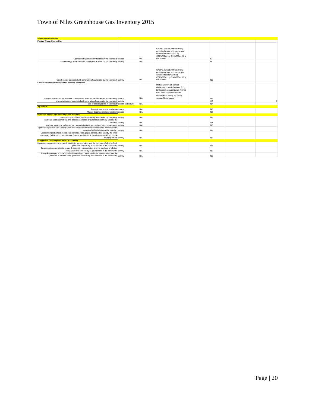## Town of Niles Greenhouse Gas Inventory 2015

| <b>Water and Wastewater</b>                                                                                                                                            |            |                                                                                                                                                                                                             |           |          |
|------------------------------------------------------------------------------------------------------------------------------------------------------------------------|------------|-------------------------------------------------------------------------------------------------------------------------------------------------------------------------------------------------------------|-----------|----------|
| Potable Water- Energy Use                                                                                                                                              |            |                                                                                                                                                                                                             |           |          |
| Operation of water delivery facilities in the community source                                                                                                         | <b>N/A</b> | CACP 3.0 eGrid 2009 electricity<br>emission factors; and natural gas<br>emission factors= 53.02 kg<br>CO2/MMBtu; 1 g CH4/MMBtu; 0.1 g<br>N2O/MMBtu                                                          | IE.       |          |
| Use of energy associated with use of potable water by the community activity                                                                                           | <b>N/A</b> |                                                                                                                                                                                                             | IE.       |          |
| Use of energy associated with generation of wastewater by the community activity                                                                                       | <b>N/A</b> | CACP 3.0 eGrid 2009 electricity<br>emission factors: and natural gas<br>emission factors=53.02 kg<br>CO2/MMBtu; 1 g CH4/MMBtu; 0.1 g<br>N2O/MMBtu                                                           | <b>NE</b> |          |
| <b>Centralized Wastewater Systems- Process Emissions</b>                                                                                                               |            |                                                                                                                                                                                                             |           |          |
| Process emissions from operation of wastewater treatment facilities located in community source                                                                        | <b>N/A</b> | Method WW.8= EF without<br>nitrification or denitrification= 3.2 g<br>N2O/person equivalent/year; Method<br>WW.12a= EF for stream/river<br>discharge= 0.005 kg N <sub>2</sub> O-N/kg<br>sewage-N discharged | <b>NE</b> |          |
| process emissions associated with generation of wastewater by community activity                                                                                       |            |                                                                                                                                                                                                             | CA        | $\Omega$ |
|                                                                                                                                                                        |            |                                                                                                                                                                                                             | <b>NA</b> |          |
| Use of septic systems in community source and activity<br><b>Agriculture</b>                                                                                           | <b>N/A</b> |                                                                                                                                                                                                             |           |          |
| Domesticated animal production source                                                                                                                                  | <b>N/A</b> |                                                                                                                                                                                                             | <b>NE</b> |          |
| Manure decomposition and treatment source                                                                                                                              | <b>N/A</b> |                                                                                                                                                                                                             | <b>NE</b> |          |
| <b>Upstream Impacts of Community-wide Activities</b>                                                                                                                   |            |                                                                                                                                                                                                             |           |          |
| Upstream impacts of fuels used in stationary applications by community activity                                                                                        | <b>N/A</b> |                                                                                                                                                                                                             | <b>NE</b> |          |
| upstream and transmissions and distribution impacts of purchased electricity used by the<br>community activity                                                         | <b>N/A</b> |                                                                                                                                                                                                             | NE.       |          |
| upstream impacts of fuels used for transportation in trips associated with the community activity                                                                      | <b>N/A</b> |                                                                                                                                                                                                             | <b>NF</b> |          |
| upstream impacts of fuels used by water and wastewater facilities for water used and wastewater<br>generated within the community boundary activity                    | <b>N/A</b> |                                                                                                                                                                                                             | <b>NF</b> |          |
| Upstream impacts of select materials (concrete, food, paper, carpets, etc.) used by the whole                                                                          |            |                                                                                                                                                                                                             |           |          |
| community (additional community-wide flows of goods & services will create significant double<br>counting issues) activity                                             | N/A        |                                                                                                                                                                                                             | <b>NE</b> |          |
| <b>Independent Consumption-Based Accounting</b>                                                                                                                        |            |                                                                                                                                                                                                             |           |          |
| Household consumption (e.g., gas & electricity, transportation, and the purchase of all other food,<br>goods and services by all households in the community) activity | <b>N/A</b> |                                                                                                                                                                                                             | NE.       |          |
| Government consumption (e.g., gas & electricity, transportation, and the purchase of all other                                                                         |            |                                                                                                                                                                                                             |           |          |
| food, goods and services by all governments in the community) activity                                                                                                 | <b>N/A</b> |                                                                                                                                                                                                             | <b>NE</b> |          |
| Lifecycle emissions of community businesses (e.g., gas & electricity, transportation, and the                                                                          |            |                                                                                                                                                                                                             |           |          |
| purchase of all other food, goods and services by all businesses in the community) activity                                                                            | <b>N/A</b> |                                                                                                                                                                                                             | <b>NE</b> |          |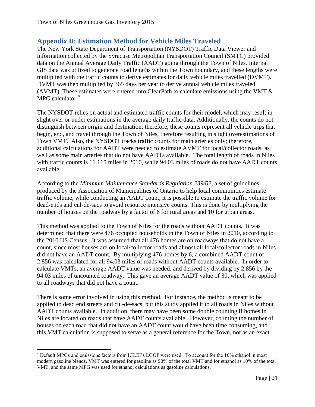## <span id="page-21-0"></span>**Appendix B: Estimation Method for Vehicle Miles Traveled**

The New York State Department of Transportation (NYSDOT) Traffic Data Viewer and information collected by the Syracuse Metropolitan Transportation Council (SMTC) provided data on the Annual Average Daily Traffic (AADT) going through the Town of Niles. Internal GIS data was utilized to generate road lengths within the Town boundary, and these lengths were multiplied with the traffic counts to derive estimates for daily vehicle miles travelled (DVMT). DVMT was then multiplied by 365 days per year to derive annual vehicle miles traveled (AVMT). These estimates were entered into ClearPath to calculate emissions using the VMT & MPG calculator.<sup>4</sup>

The NYSDOT relies on actual and estimated traffic counts for their model, which may result in slight over or under estimations in the average daily traffic data. Additionally, the counts do not distinguish between origin and destination; therefore, these counts represent all vehicle trips that begin, end, and travel through the Town of Niles, therefore resulting in slight overestimations of Town VMT. Also, the NYSDOT tracks traffic counts for main arteries only; therefore, additional calculations for AADT were needed to estimate AVMT for local/collector roads, as well as some main arteries that do not have AADTs available. The total length of roads in Niles with traffic counts is 11.115 miles in 2010, while 94.03 miles of roads do not have AADT counts available.

According to the *Minimum Maintenance Standards Regulation 239/02*, a set of guidelines produced by the Association of Municipalities of Ontario to help local communities estimate traffic volume, while conducting an AADT count, it is possible to estimate the traffic volume for dead-ends and cul-de-sacs to avoid resource intensive counts. This is done by multiplying the number of houses on the roadway by a factor of 6 for rural areas and 10 for urban areas.

This method was applied to the Town of Niles for the roads without AADT counts. It was determined that there were 476 occupied households in the Town of Niles in 2010, according to the 2010 US Census. It was assumed that all 476 homes are on roadways that do not have a count, since most houses are on local/collector roads and almost all local/collector roads in Niles did not have an AADT count. By multiplying 476 homes by 6, a combined AADT count of 2,856 was calculated for all 94.03 miles of roads without AADT counts available. In order to calculate VMTs, an average AADT value was needed, and derived by dividing by 2,856 by the 94.03 miles of uncounted roadway. This gave an average AADT value of 30, which was applied to all roadways that did not have a count.

There is some error involved in using this method. For instance, the method is meant to be applied to dead end streets and cul-de-sacs, but this study applied it to all roads in Niles without AADT counts available. In addition, there may have been some double counting if homes in Niles are located on roads that have AADT counts available. However, counting the number of houses on each road that did not have an AADT count would have been time consuming, and this VMT calculation is supposed to serve as a general reference for the Town, not as an exact

 $\overline{\phantom{a}}$ <sup>4</sup> Default MPGs and emissions factors from ICLEI's LGOP were used. To account for the 10% ethanol in most modern gasoline blends, VMT was entered for gasoline as 90% of the total VMT and for ethanol as 10% of the total VMT, and the same MPG was used for ethanol calculations as gasoline calculations.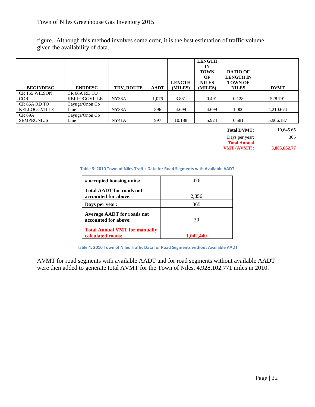figure. Although this method involves some error, it is the best estimation of traffic volume given the availability of data.

| <b>BEGINDESC</b>                         | <b>ENDDESC</b>                           | <b>TDV ROUTE</b> | <b>AADT</b> | <b>LENGTH</b><br>(MILES) | <b>LENGTH</b><br>IN<br><b>TOWN</b><br>OF<br><b>NILES</b><br>(MILES) | <b>RATIO OF</b><br><b>LENGTH IN</b><br><b>TOWN OF</b><br><b>NILES</b> | <b>DVMT</b> |
|------------------------------------------|------------------------------------------|------------------|-------------|--------------------------|---------------------------------------------------------------------|-----------------------------------------------------------------------|-------------|
| CR 155 WILSON<br><b>COR</b>              | CR <sub>66</sub> A RD TO<br>KELLOGGVILLE | NY38A            | 1.076       | 3.831                    | 0.491                                                               | 0.128                                                                 | 528.791     |
| CR <sub>66</sub> A RD TO<br>KELLOGGVILLE | Cayuga/Onon Co<br>Line                   | NY38A            | 896         | 4.699                    | 4.699                                                               | 1.000                                                                 | 4,210.674   |
| <b>CR 69A</b><br><b>SEMPRONIUS</b>       | Cayuga/Onon Co<br>Line                   | NY41A            | 997         | 10.188                   | 5.924                                                               | 0.581                                                                 | 5,906.187   |

**Total DVMT:** 10,645.65 Days per year: 365

**Total Annual VMT (AVMT): 3,885,662.77**

#### **Table 3: 2010 Town of Niles Traffic Data for Road Segments with Available AADT**

| # occupied housing units:                                 | 476   |
|-----------------------------------------------------------|-------|
| <b>Total AADT</b> for roads not<br>accounted for above:   | 2,856 |
| Days per year:                                            | 365   |
| <b>Average AADT</b> for roads not<br>accounted for above: | 30    |
| <b>Total Annual VMT for manually</b><br>calculated roads: | 440   |

**Table 4: 2010 Town of Niles Traffic Data for Road Segments without Available AADT**

AVMT for road segments with available AADT and for road segments without available AADT were then added to generate total AVMT for the Town of Niles, 4,928,102.771 miles in 2010.